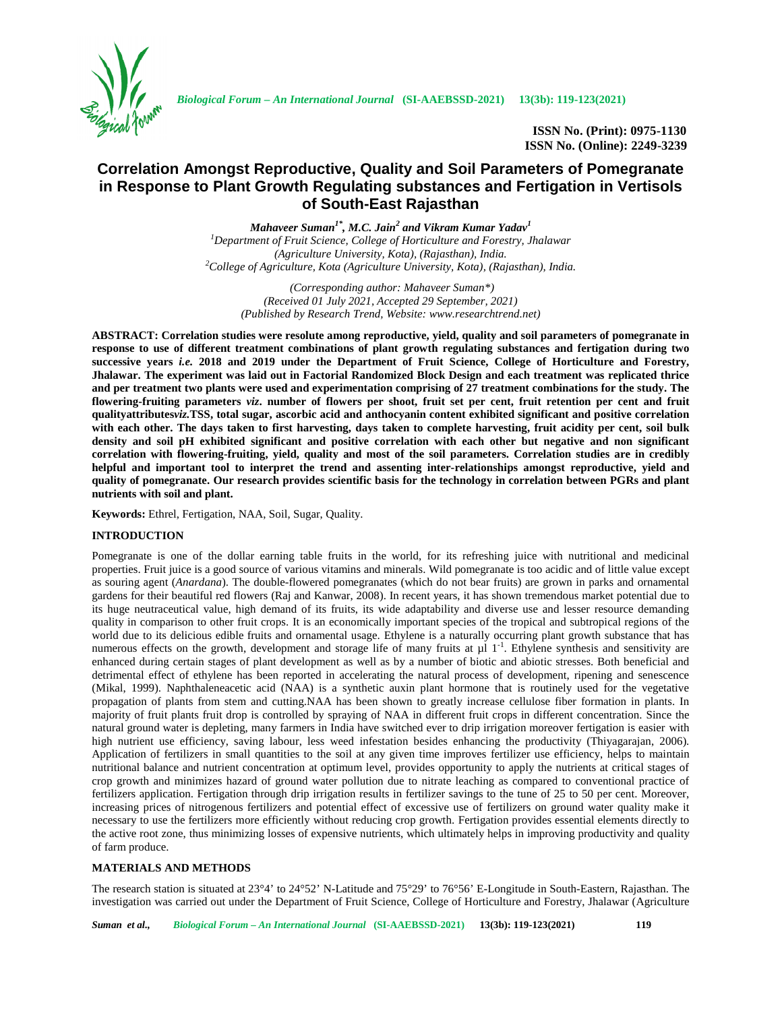

**ISSN No. (Print): 0975-1130 ISSN No. (Online): 2249-3239**

# **Correlation Amongst Reproductive, Quality and Soil Parameters of Pomegranate in Response to Plant Growth Regulating substances and Fertigation in Vertisols of South-East Rajasthan**

*Mahaveer Suman1\* , M.C. Jain<sup>2</sup> and Vikram Kumar Yadav<sup>1</sup> <sup>1</sup>Department of Fruit Science, College of Horticulture and Forestry, Jhalawar (Agriculture University, Kota), (Rajasthan), India. <sup>2</sup>College of Agriculture, Kota (Agriculture University, Kota), (Rajasthan), India.*

> *(Corresponding author: Mahaveer Suman\*) (Received 01 July 2021, Accepted 29 September, 2021) (Published by Research Trend, Website: <www.researchtrend.net>)*

**ABSTRACT: Correlation studies were resolute among reproductive, yield, quality and soil parameters of pomegranate in response to use of different treatment combinations of plant growth regulating substances and fertigation during two successive years** *i.e.* **2018 and 2019 under the Department of Fruit Science, College of Horticulture and Forestry, Jhalawar. The experiment was laid out in Factorial Randomized Block Design and each treatment was replicated thrice and per treatment two plants were used and experimentation comprising of 27 treatment combinations for the study. The flowering-fruiting parameters** *viz***. number of flowers per shoot, fruit set per cent, fruit retention per cent and fruit qualityattributes***viz.***TSS, total sugar, ascorbic acid and anthocyanin content exhibited significant and positive correlation with each other. The days taken to first harvesting, days taken to complete harvesting, fruit acidity per cent, soil bulk density and soil pH exhibited significant and positive correlation with each other but negative and non significant correlation with flowering-fruiting, yield, quality and most of the soil parameters. Correlation studies are in credibly helpful and important tool to interpret the trend and assenting inter-relationships amongst reproductive, yield and quality of pomegranate. Our research provides scientific basis for the technology in correlation between PGRs and plant nutrients with soil and plant.**

**Keywords:** Ethrel, Fertigation, NAA, Soil, Sugar, Quality.

## **INTRODUCTION**

Pomegranate is one of the dollar earning table fruits in the world, for its refreshing juice with nutritional and medicinal properties. Fruit juice is a good source of various vitamins and minerals. Wild pomegranate is too acidic and of little value except as souring agent (*Anardana*). The double-flowered pomegranates (which do not bear fruits) are grown in parks and ornamental gardens for their beautiful red flowers (Raj and Kanwar, 2008). In recent years, it has shown tremendous market potential due to its huge neutraceutical value, high demand of its fruits, its wide adaptability and diverse use and lesser resource demanding quality in comparison to other fruit crops. It is an economically important species of the tropical and subtropical regions of the world due to its delicious edible fruits and ornamental usage. Ethylene is a naturally occurring plant growth substance that has numerous effects on the growth, development and storage life of many fruits at  $\mu$ l 1<sup>-1</sup>. Ethylene synthesis and sensitivity are enhanced during certain stages of plant development as well as by a number of biotic and abiotic stresses. Both beneficial and detrimental effect of ethylene has been reported in accelerating the natural process of development, ripening and senescence (Mikal, 1999). Naphthaleneacetic acid (NAA) is a synthetic auxin plant hormone that is routinely used for the vegetative propagation of plants from stem and cutting.NAA has been shown to greatly increase cellulose fiber formation in plants. In majority of fruit plants fruit drop is controlled by spraying of NAA in different fruit crops in different concentration. Since the natural ground water is depleting, many farmers in India have switched ever to drip irrigation moreover fertigation is easier with high nutrient use efficiency, saving labour, less weed infestation besides enhancing the productivity (Thiyagarajan, 2006). Application of fertilizers in small quantities to the soil at any given time improves fertilizer use efficiency, helps to maintain nutritional balance and nutrient concentration at optimum level, provides opportunity to apply the nutrients at critical stages of crop growth and minimizes hazard of ground water pollution due to nitrate leaching as compared to conventional practice of fertilizers application. Fertigation through drip irrigation results in fertilizer savings to the tune of 25 to 50 per cent. Moreover, increasing prices of nitrogenous fertilizers and potential effect of excessive use of fertilizers on ground water quality make it necessary to use the fertilizers more efficiently without reducing crop growth. Fertigation provides essential elements directly to the active root zone, thus minimizing losses of expensive nutrients, which ultimately helps in improving productivity and quality of farm produce.

## **MATERIALS AND METHODS**

The research station is situated at 23°4' to 24°52' N-Latitude and 75°29' to 76°56' E-Longitude in South-Eastern, Rajasthan. The investigation was carried out under the Department of Fruit Science, College of Horticulture and Forestry, Jhalawar (Agriculture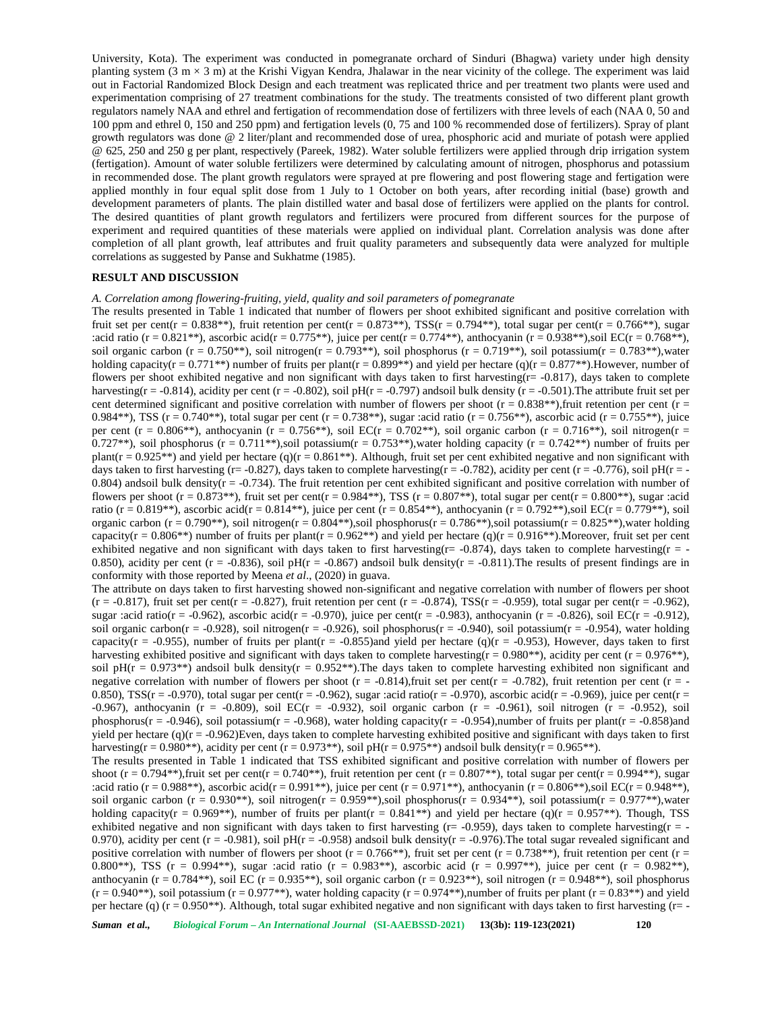University, Kota). The experiment was conducted in pomegranate orchard of Sinduri (Bhagwa) variety under high density planting system  $(3 \text{ m} \times 3 \text{ m})$  at the Krishi Vigyan Kendra, Jhalawar in the near vicinity of the college. The experiment was laid out in Factorial Randomized Block Design and each treatment was replicated thrice and per treatment two plants were used and experimentation comprising of 27 treatment combinations for the study. The treatments consisted of two different plant growth regulators namely NAA and ethrel and fertigation of recommendation dose of fertilizers with three levels of each (NAA 0, 50 and 100 ppm and ethrel 0, 150 and 250 ppm) and fertigation levels (0, 75 and 100 % recommended dose of fertilizers). Spray of plant growth regulators was done @ 2 liter/plant and recommended dose of urea, phosphoric acid and muriate of potash were applied @ 625, 250 and 250 g per plant, respectively (Pareek, 1982). Water soluble fertilizers were applied through drip irrigation system (fertigation). Amount of water soluble fertilizers were determined by calculating amount of nitrogen, phosphorus and potassium in recommended dose. The plant growth regulators were sprayed at pre flowering and post flowering stage and fertigation were applied monthly in four equal split dose from 1 July to 1 October on both years, after recording initial (base) growth and development parameters of plants. The plain distilled water and basal dose of fertilizers were applied on the plants for control. The desired quantities of plant growth regulators and fertilizers were procured from different sources for the purpose of experiment and required quantities of these materials were applied on individual plant. Correlation analysis was done after completion of all plant growth, leaf attributes and fruit quality parameters and subsequently data were analyzed for multiple correlations as suggested by Panse and Sukhatme (1985).

### **RESULT AND DISCUSSION**

*A. Correlation among flowering-fruiting, yield, quality and soil parameters of pomegranate*

The results presented in Table 1 indicated that number of flowers per shoot exhibited significant and positive correlation with fruit set per cent(r = 0.838\*\*), fruit retention per cent(r = 0.873\*\*), TSS(r = 0.794\*\*), total sugar per cent(r = 0.766\*\*), sugar :acid ratio (r = 0.821\*\*), ascorbic acid(r = 0.775\*\*), juice per cent(r = 0.774\*\*), anthocyanin (r = 0.938\*\*),soil EC(r = 0.768\*\*), soil organic carbon (r = 0.750\*\*), soil nitrogen(r = 0.793\*\*), soil phosphorus (r = 0.719\*\*), soil potassium(r = 0.783\*\*),water holding capacity(r = 0.771\*\*) number of fruits per plant(r = 0.899\*\*) and yield per hectare (q)(r = 0.877\*\*). However, number of flowers per shoot exhibited negative and non significant with days taken to first harvesting( $r = -0.817$ ), days taken to complete harvesting(r = -0.814), acidity per cent (r = -0.802), soil pH(r = -0.797) andsoil bulk density (r = -0.501). The attribute fruit set per cent determined significant and positive correlation with number of flowers per shoot ( $r = 0.838**$ ), fruit retention per cent ( $r =$ 0.984\*\*), TSS (r = 0.740\*\*), total sugar per cent (r = 0.738\*\*), sugar :acid ratio (r = 0.756\*\*), ascorbic acid (r = 0.755\*\*), juice per cent (r = 0.806<sup>\*\*</sup>), anthocyanin (r = 0.756<sup>\*\*</sup>), soil EC(r = 0.702<sup>\*\*</sup>), soil organic carbon (r = 0.716<sup>\*\*</sup>), soil nitrogen(r = 0.727<sup>\*\*</sup>), soil phosphorus (r = 0.711<sup>\*\*</sup>), soil potassium(r = 0.753<sup>\*\*</sup>), water holding capacity (r = 0.742<sup>\*\*</sup>) number of fruits per plant( $r = 0.925^{**}$ ) and yield per hectare (q)( $r = 0.861^{**}$ ). Although, fruit set per cent exhibited negative and non significant with days taken to first harvesting (r= -0.827), days taken to complete harvesting(r = -0.782), acidity per cent (r = -0.776), soil pH(r = -0.804) andsoil bulk density $(r = -0.734)$ . The fruit retention per cent exhibited significant and positive correlation with number of flowers per shoot (r = 0.873\*\*), fruit set per cent(r = 0.984\*\*), TSS (r = 0.807\*\*), total sugar per cent(r = 0.800\*\*), sugar :acid ratio (r = 0.819\*\*), ascorbic acid(r = 0.814\*\*), juice per cent (r = 0.854\*\*), anthocyanin (r = 0.792\*\*), soil EC(r = 0.779\*\*), soil organic carbon (r = 0.790\*\*), soil nitrogen(r =  $0.804**$ ), soil phosphorus(r =  $0.786**$ ), soil potassium(r =  $0.825**$ ), water holding capacity( $r = 0.806$ \*\*) number of fruits per plant( $r = 0.962$ \*\*) and yield per hectare (q)( $r = 0.916$ \*\*).Moreover, fruit set per cent exhibited negative and non significant with days taken to first harvesting(r = -0.874), days taken to complete harvesting(r = -0.850), acidity per cent (r = -0.836), soil pH(r = -0.867) andsoil bulk density(r = -0.811). The results of present findings are in conformity with those reported by Meena *et al*., (2020) in guava.

The attribute on days taken to first harvesting showed non-significant and negative correlation with number of flowers per shoot  $(r = -0.817)$ , fruit set per cent(r = -0.827), fruit retention per cent (r = -0.874), TSS(r = -0.959), total sugar per cent(r = -0.962), sugar :acid ratio(r = -0.962), ascorbic acid(r = -0.970), juice per cent(r = -0.983), anthocyanin (r = -0.826), soil EC(r = -0.912), soil organic carbon(r = -0.928), soil nitrogen(r = -0.926), soil phosphorus(r = -0.940), soil potassium(r = -0.954), water holding capacity( $r = -0.955$ ), number of fruits per plant( $r = -0.855$ )and yield per hectare (q)( $r = -0.953$ ), However, days taken to first harvesting exhibited positive and significant with days taken to complete harvesting(r =  $0.980**$ ), acidity per cent (r =  $0.976**$ ), soil pH( $r = 0.973$ \*\*) andsoil bulk density( $r = 0.952$ \*\*). The days taken to complete harvesting exhibited non significant and negative correlation with number of flowers per shoot  $(r = -0.814)$ , fruit set per cent $(r = -0.782)$ , fruit retention per cent  $(r = -0.782)$ 0.850), TSS(r = -0.970), total sugar per cent(r = -0.962), sugar :acid ratio(r = -0.970), ascorbic acid(r = -0.969), juice per cent(r = -0.967), anthocyanin (r = -0.809), soil EC(r = -0.932), soil organic carbon (r = -0.961), soil nitrogen (r = -0.952), soil phosphorus( $r = -0.946$ ), soil potassium( $r = -0.968$ ), water holding capacity( $r = -0.954$ ),number of fruits per plant( $r = -0.858$ )and yield per hectare (q)( $r = -0.962$ )Even, days taken to complete harvesting exhibited positive and significant with days taken to first harvesting(r = 0.980\*\*), acidity per cent (r = 0.973\*\*), soil pH(r = 0.975\*\*) andsoil bulk density(r = 0.965\*\*).

The results presented in Table 1 indicated that TSS exhibited significant and positive correlation with number of flowers per shoot (r = 0.794<sup>\*\*</sup>), fruit set per cent(r = 0.740<sup>\*\*</sup>), fruit retention per cent (r = 0.807<sup>\*\*</sup>), total sugar per cent(r = 0.994<sup>\*\*</sup>), sugar :acid ratio (r = 0.988\*\*), ascorbic acid(r = 0.991\*\*), juice per cent (r = 0.971\*\*), anthocyanin (r = 0.806\*\*), soil EC(r = 0.948\*\*), soil organic carbon (r = 0.930\*\*), soil nitrogen(r = 0.959\*\*), soil phosphorus(r = 0.934\*\*), soil potassium(r = 0.977\*\*), water holding capacity(r = 0.969\*\*), number of fruits per plant(r =  $0.841$ \*\*) and yield per hectare (q)(r =  $0.957$ \*\*). Though, TSS exhibited negative and non significant with days taken to first harvesting ( $r = -0.959$ ), days taken to complete harvesting( $r = -1$ 0.970), acidity per cent ( $r = -0.981$ ), soil pH( $r = -0.958$ ) andsoil bulk density( $r = -0.976$ ). The total sugar revealed significant and positive correlation with number of flowers per shoot ( $r = 0.766$ \*\*), fruit set per cent ( $r = 0.738$ \*\*), fruit retention per cent ( $r = 0.76$ 0.800\*\*), TSS (r = 0.994\*\*), sugar :acid ratio (r = 0.983\*\*), ascorbic acid (r = 0.997\*\*), juice per cent (r = 0.982\*\*), anthocyanin (r =  $0.784**$ ), soil EC (r =  $0.935**$ ), soil organic carbon (r =  $0.923**$ ), soil nitrogen (r =  $0.948**$ ), soil phosphorus  $(r = 0.940^{**})$ , soil potassium  $(r = 0.977^{**})$ , water holding capacity  $(r = 0.974^{**})$ , number of fruits per plant  $(r = 0.83^{**})$  and yield per hectare (q) ( $r = 0.950**$ ). Although, total sugar exhibited negative and non significant with days taken to first harvesting ( $r = -$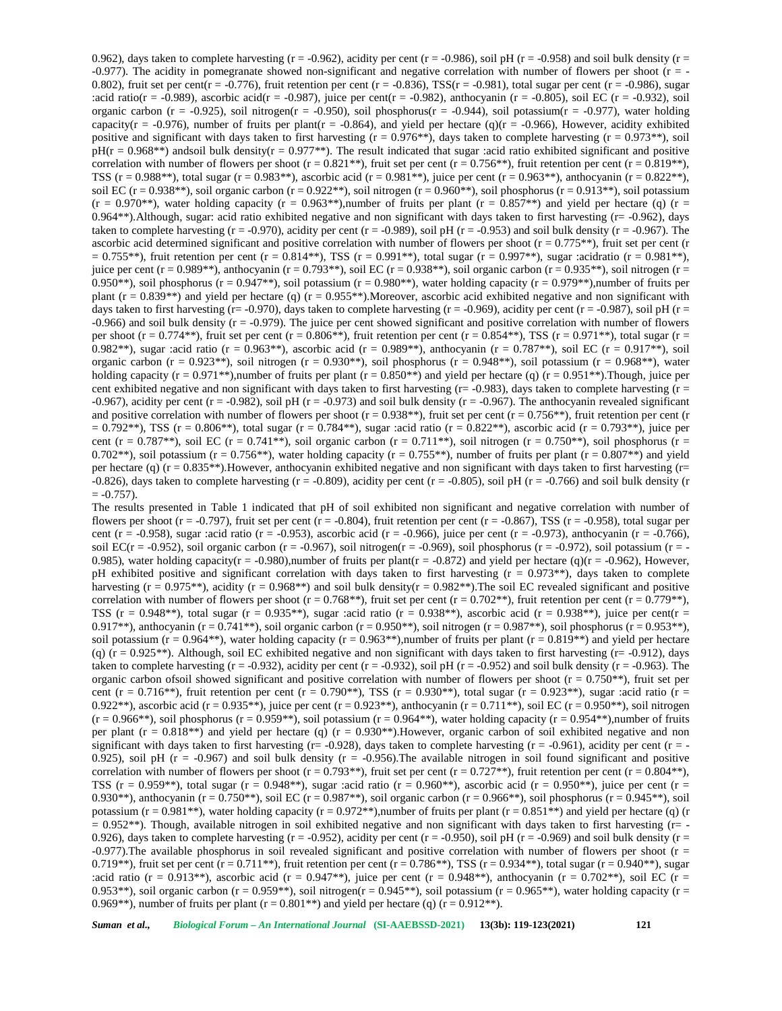0.962), days taken to complete harvesting (r = -0.962), acidity per cent (r = -0.986), soil pH (r = -0.958) and soil bulk density (r =  $-0.977$ ). The acidity in pomegranate showed non-significant and negative correlation with number of flowers per shoot ( $r = -$ 0.802), fruit set per cent( $r = -0.776$ ), fruit retention per cent ( $r = -0.836$ ), TSS( $r = -0.981$ ), total sugar per cent ( $r = -0.986$ ), sugar :acid ratio(r = -0.989), ascorbic acid(r = -0.987), juice per cent(r = -0.982), anthocyanin (r = -0.805), soil EC (r = -0.932), soil organic carbon (r = -0.925), soil nitrogen(r = -0.950), soil phosphorus(r = -0.944), soil potassium(r = -0.977), water holding capacity( $r = -0.976$ ), number of fruits per plant( $r = -0.864$ ), and yield per hectare (q)( $r = -0.966$ ), However, acidity exhibited positive and significant with days taken to first harvesting ( $r = 0.976$ \*\*), days taken to complete harvesting ( $r = 0.973$ \*\*), soil  $pH(r = 0.968**)$  andsoil bulk density(r = 0.977<sup>\*\*</sup>). The result indicated that sugar :acid ratio exhibited significant and positive correlation with number of flowers per shoot (r =  $0.821$ \*\*), fruit set per cent (r =  $0.756$ \*\*), fruit retention per cent (r =  $0.819$ \*\*), TSS ( $r = 0.988$ \*\*), total sugar ( $r = 0.983$ \*\*), ascorbic acid ( $r = 0.981$ \*\*), juice per cent ( $r = 0.963$ \*\*), anthocyanin ( $r = 0.822$ \*\*), soil EC ( $r = 0.938**$ ), soil organic carbon ( $r = 0.922**$ ), soil nitrogen ( $r = 0.960**$ ), soil phosphorus ( $r = 0.913**$ ), soil potassium  $(r = 0.970^{**})$ , water holding capacity  $(r = 0.963^{**})$ , number of fruits per plant  $(r = 0.857^{**})$  and yield per hectare (q)  $(r = 0.963^{**})$ 0.964\*\*).Although, sugar: acid ratio exhibited negative and non significant with days taken to first harvesting (r= -0.962), days taken to complete harvesting ( $r = -0.970$ ), acidity per cent ( $r = -0.989$ ), soil pH ( $r = -0.953$ ) and soil bulk density ( $r = -0.967$ ). The ascorbic acid determined significant and positive correlation with number of flowers per shoot ( $r = 0.775**$ ), fruit set per cent (r  $= 0.755**$ ), fruit retention per cent (r = 0.814\*\*), TSS (r = 0.991\*\*), total sugar (r = 0.997\*\*), sugar :acidratio (r = 0.981\*\*), juice per cent (r = 0.989\*\*), anthocyanin (r = 0.793\*\*), soil EC (r = 0.938\*\*), soil organic carbon (r = 0.935\*\*), soil nitrogen (r = 0.950\*\*), soil phosphorus (r = 0.947\*\*), soil potassium (r = 0.980\*\*), water holding capacity (r = 0.979\*\*), number of fruits per plant ( $r = 0.839$ <sup>\*\*</sup>) and yield per hectare (q) ( $r = 0.955$ <sup>\*\*</sup>). Moreover, ascorbic acid exhibited negative and non significant with days taken to first harvesting (r= -0.970), days taken to complete harvesting (r = -0.969), acidity per cent (r = -0.987), soil pH (r = -0.966) and soil bulk density (r = -0.979). The juice per cent showed significant and positive correlation with number of flowers per shoot (r =  $0.774**$ ), fruit set per cent (r =  $0.806**$ ), fruit retention per cent (r =  $0.854**$ ), TSS (r =  $0.971**$ ), total sugar (r = 0.982\*\*), sugar :acid ratio (r = 0.963\*\*), ascorbic acid (r = 0.989\*\*), anthocyanin (r = 0.787\*\*), soil EC (r = 0.917\*\*), soil organic carbon (r =  $0.923**$ ), soil nitrogen (r =  $0.930**$ ), soil phosphorus (r =  $0.948**$ ), soil potassium (r =  $0.968**$ ), water holding capacity (r = 0.971<sup>\*\*</sup>),number of fruits per plant (r = 0.850<sup>\*\*</sup>) and yield per hectare (q) (r = 0.951<sup>\*\*</sup>). Though, juice per cent exhibited negative and non significant with days taken to first harvesting ( $r = -0.983$ ), days taken to complete harvesting ( $r =$ -0.967), acidity per cent  $(r = -0.982)$ , soil pH  $(r = -0.973)$  and soil bulk density  $(r = -0.967)$ . The anthocyanin revealed significant and positive correlation with number of flowers per shoot ( $r = 0.938$ \*\*), fruit set per cent ( $r = 0.756$ \*\*), fruit retention per cent (r  $= 0.792**$ ), TSS (r = 0.806<sup>\*\*</sup>), total sugar (r = 0.784<sup>\*\*</sup>), sugar :acid ratio (r = 0.822<sup>\*\*</sup>), ascorbic acid (r = 0.793<sup>\*\*</sup>), juice per cent (r = 0.787<sup>\*\*</sup>), soil EC (r = 0.741<sup>\*\*</sup>), soil organic carbon (r = 0.711<sup>\*\*)</sup>, soil nitrogen (r = 0.750<sup>\*\*)</sup>, soil phosphorus (r = 0.702\*\*), soil potassium (r = 0.756\*\*), water holding capacity (r = 0.755\*\*), number of fruits per plant (r = 0.807\*\*) and yield per hectare (q) (r = 0.835\*\*).However, anthocyanin exhibited negative and non significant with days taken to first harvesting (r= -0.826), days taken to complete harvesting ( $r = -0.809$ ), acidity per cent ( $r = -0.805$ ), soil pH ( $r = -0.766$ ) and soil bulk density ( $r = -0.826$ )  $= -0.757$ ).

The results presented in Table 1 indicated that pH of soil exhibited non significant and negative correlation with number of flowers per shoot ( $r = -0.797$ ), fruit set per cent ( $r = -0.804$ ), fruit retention per cent ( $r = -0.867$ ), TSS ( $r = -0.958$ ), total sugar per cent (r = -0.958), sugar :acid ratio (r = -0.953), ascorbic acid (r = -0.966), juice per cent (r = -0.973), anthocyanin (r = -0.766), soil EC(r = -0.952), soil organic carbon (r = -0.967), soil nitrogen(r = -0.969), soil phosphorus (r = -0.972), soil potassium (r = -0.985), water holding capacity(r = -0.980),number of fruits per plant(r = -0.872) and yield per hectare (q)(r = -0.962), However, pH exhibited positive and significant correlation with days taken to first harvesting ( $r = 0.973**$ ), days taken to complete harvesting ( $r = 0.975$ \*\*), acidity ( $r = 0.968$ \*\*) and soil bulk density( $r = 0.982$ \*\*). The soil EC revealed significant and positive correlation with number of flowers per shoot ( $r = 0.768$ \*\*), fruit set per cent ( $r = 0.702$ \*\*), fruit retention per cent ( $r = 0.779$ \*\*), TSS (r = 0.948\*\*), total sugar (r = 0.935\*\*), sugar :acid ratio (r = 0.938\*\*), ascorbic acid (r = 0.938\*\*), juice per cent(r = 0.917\*\*), anthocyanin (r = 0.741\*\*), soil organic carbon (r = 0.950\*\*), soil nitrogen (r = 0.987\*\*), soil phosphorus (r = 0.953\*\*), soil potassium ( $r = 0.964**$ ), water holding capacity ( $r = 0.963**$ ), number of fruits per plant ( $r = 0.819**$ ) and yield per hectare (q)  $(r = 0.925^{**})$ . Although, soil EC exhibited negative and non significant with days taken to first harvesting  $(r = -0.912)$ , days taken to complete harvesting  $(r = -0.932)$ , acidity per cent  $(r = -0.932)$ , soil pH  $(r = -0.952)$  and soil bulk density  $(r = -0.963)$ . The organic carbon ofsoil showed significant and positive correlation with number of flowers per shoot ( $r = 0.750**$ ), fruit set per cent (r = 0.716<sup>\*\*</sup>), fruit retention per cent (r = 0.790<sup>\*\*</sup>), TSS (r = 0.930<sup>\*\*</sup>), total sugar (r = 0.923<sup>\*\*</sup>), sugar :acid ratio (r = 0.922\*\*), ascorbic acid (r = 0.935\*\*), juice per cent (r = 0.923\*\*), anthocyanin (r = 0.711\*\*), soil EC (r = 0.950\*\*), soil nitrogen  $(r = 0.966$ <sup>\*</sup>\*), soil phosphorus  $(r = 0.959$ <sup>\*\*</sup>), soil potassium  $(r = 0.964$ <sup>\*\*</sup>), water holding capacity  $(r = 0.954$ <sup>\*\*</sup>),number of fruits per plant  $(r = 0.818**)$  and yield per hectare (q)  $(r = 0.930**)$ . However, organic carbon of soil exhibited negative and non significant with days taken to first harvesting  $(r = -0.928)$ , days taken to complete harvesting  $(r = -0.961)$ , acidity per cent  $(r = -1.961)$ 0.925), soil pH ( $r = -0.967$ ) and soil bulk density ( $r = -0.956$ ). The available nitrogen in soil found significant and positive correlation with number of flowers per shoot (r = 0.793<sup>\*\*</sup>), fruit set per cent (r = 0.727<sup>\*\*</sup>), fruit retention per cent (r = 0.804<sup>\*\*</sup>), TSS (r = 0.959<sup>\*\*</sup>), total sugar (r = 0.948<sup>\*\*</sup>), sugar :acid ratio (r = 0.960<sup>\*\*</sup>), ascorbic acid (r = 0.950<sup>\*\*</sup>), juice per cent (r = 0.930\*\*), anthocyanin (r = 0.750\*\*), soil EC (r = 0.987\*\*), soil organic carbon (r = 0.966\*\*), soil phosphorus (r = 0.945\*\*), soil potassium ( $r = 0.981**$ ), water holding capacity ( $r = 0.972**$ ), number of fruits per plant ( $r = 0.851**$ ) and yield per hectare (q) (r  $= 0.952**$ ). Though, available nitrogen in soil exhibited negative and non significant with days taken to first harvesting ( $r = -1$ ) 0.926), days taken to complete harvesting ( $r = -0.952$ ), acidity per cent ( $r = -0.950$ ), soil pH ( $r = -0.969$ ) and soil bulk density ( $r =$ -0.977). The available phosphorus in soil revealed significant and positive correlation with number of flowers per shoot ( $r =$ 0.719\*\*), fruit set per cent  $(r = 0.711**)$ , fruit retention per cent  $(r = 0.786**)$ , TSS  $(r = 0.934**)$ , total sugar  $(r = 0.940**)$ , sugar :acid ratio (r = 0.913\*\*), ascorbic acid (r = 0.947\*\*), juice per cent (r = 0.948\*\*), anthocyanin (r = 0.702\*\*), soil EC (r = 0.953\*\*), soil organic carbon (r = 0.959\*\*), soil nitrogen(r = 0.945\*\*), soil potassium (r = 0.965\*\*), water holding capacity (r = 0.969\*\*), number of fruits per plant ( $r = 0.801**$ ) and yield per hectare (q) ( $r = 0.912**$ ).

*Suman et al., Biological Forum – An International Journal* **(SI-AAEBSSD-2021) 13(3b): 119-123(2021) 121**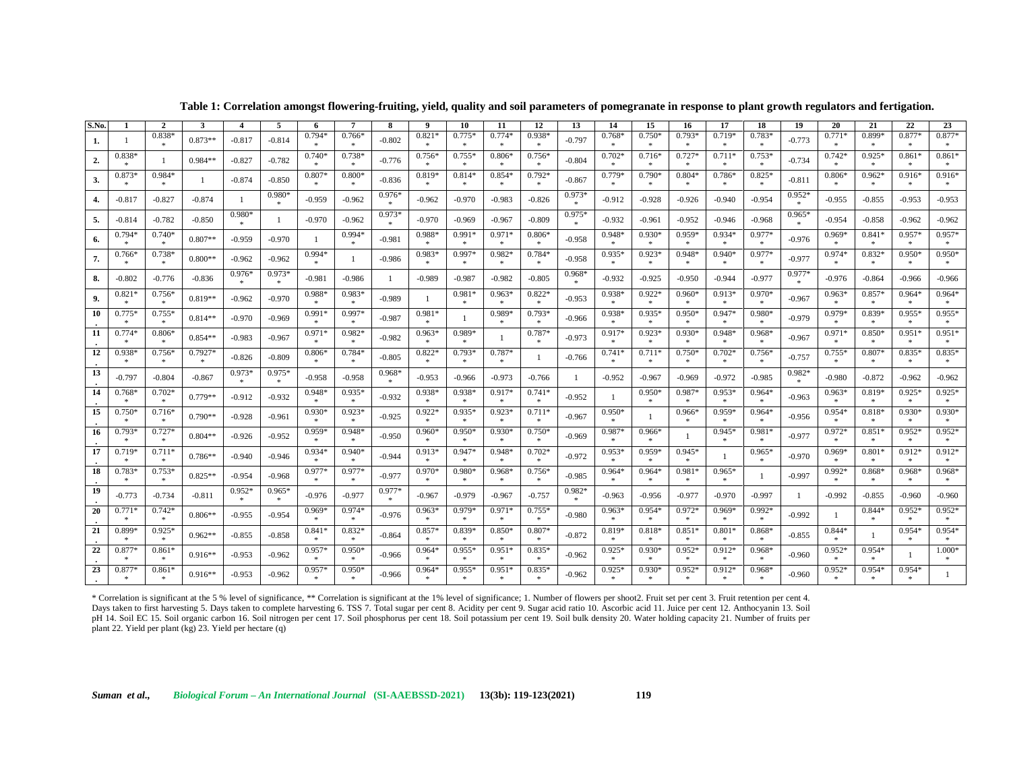| S.No. | -1                 | $\overline{2}$           | 3                 |               | 5                        | 6                  | 7                         | 8                   | 9                  | 10                  | 11                       | 12                       | 13                       | 14                 | 15                              | 16                  | 17                    | 18                     | 19            | 20                       | 21                       | 22                             | 23                  |
|-------|--------------------|--------------------------|-------------------|---------------|--------------------------|--------------------|---------------------------|---------------------|--------------------|---------------------|--------------------------|--------------------------|--------------------------|--------------------|---------------------------------|---------------------|-----------------------|------------------------|---------------|--------------------------|--------------------------|--------------------------------|---------------------|
| 1.    | -1                 | $0.838*$                 | $0.873**$         | $-0.817$      | $-0.814$                 | $0.794*$           | $0.766*$                  | $-0.802$            | $0.821*$           | $0.775*$            | $0.774*$<br>$\star$      | $0.938*$<br>$\star$      | $-0.797$                 | $0.768*$           | $0.750*$                        | $0.793*$            | $0.719*$              | $0.783*$<br>$\star$    | $-0.773$      | $0.771*$                 | 0.899*                   | $0.877*$<br>$\ast$             | $0.877*$<br>$\star$ |
| 2.    | $0.838*$<br>*      | $\mathbf{1}$             | $0.984**$         | $-0.827$      | $-0.782$                 | $0.740*$           | $0.738*$                  | $-0.776$            | $0.756*$           | $0.755*$            | $0.806*$<br>$\ast$       | $0.756*$<br>$\ast$       | $-0.804$                 | $0.702*$           | $0.716*$                        | $0.727*$            | $0.711*$              | $0.753*$<br>宋          | $-0.734$      | $0.742*$                 | $0.925*$                 | $0.861$ <sup>2</sup><br>$\ast$ | $0.861*$<br>$\ast$  |
| 3.    | 0.873*<br>*        | $0.984*$<br>$\star$      |                   | $-0.874$      | $-0.850$                 | $0.807*$<br>米      | $0.800*$<br>*             | $-0.836$            | $0.819*$<br>六      | $0.814*$<br>$\ast$  | $0.854*$<br>$\star$      | $0.792*$<br>$*$          | $-0.867$                 | 0.779*<br>大        | $0.790*$<br>- sk                | $0.804*$<br>- sk    | $0.786*$<br>大         | $0.825*$<br>$\ast$     | $-0.811$      | $0.806*$<br>$\star$      | $0.962*$<br>$\star$      | $0.916*$<br>$-$                | $0.916*$<br>$\ast$  |
| 4.    | $-0.817$           | $-0.827$                 | $-0.874$          | $\mathbf{1}$  | $0.980*$<br>$*$          | $-0.959$           | $-0.962$                  | $0.976*$            | $-0.962$           | -0.970              | $-0.983$                 | $-0.826$                 | $0.973*$                 | $-0.912$           | $-0.928$                        | -0.926              | $-0.940$              | $-0.954$               | $0.952*$      | $-0.955$                 | $-0.855$                 | $-0.953$                       | $-0.953$            |
| 5.    | $-0.814$           | $-0.782$                 | $-0.850$          | $0.980*$      |                          | $-0.970$           | $-0.962$                  | $0.973*$            | $-0.970$           | -0.969              | $-0.967$                 | $-0.809$                 | $0.975*$                 | $-0.932$           | $-0.961$                        | $-0.952$            | $-0.946$              | $-0.968$               | $0.965*$<br>念 | $-0.954$                 | $-0.858$                 | $-0.962$                       | $-0.962$            |
| 6.    | $0.794*$           | $0.740*$<br>$\ast$       | $0.807**$         | $-0.959$      | $-0.970$                 | -1                 | $0.994*$                  | $-0.981$            | $0.988*$           | $0.991*$            | $0.971*$<br>米            | $0.806*$<br>$\ast$       | $-0.958$                 | $0.948*$           | $0.930*$                        | $0.959*$            | $0.934*$              | $0.977*$<br>$\ast$     | $-0.976$      | $0.969*$                 | $0.841*$<br>*            | $0.957*$<br>$\ast$             | $0.957*$<br>$*$     |
| 7.    | $0.766*$<br>*      | $0.738*$<br>宋            | $0.800**$         | $-0.962$      | $-0.962$                 | $0.994*$           | $\mathbf{1}$              | $-0.986$            | $0.983*$<br>宋.     | 0.997<br>$\ast$     | $0.982*$<br>*            | $0.784*$<br>*            | $-0.958$                 | $0.935*$           | $0.923*$<br>$\ast$              | $0.948*$<br>*       | $0.940*$<br>*         | 0.977*<br>$\ast$       | $-0.977$      | $0.974*$                 | $0.832*$<br>*            | $0.950*$<br>*                  | $0.950*$<br>*       |
| 8.    | $-0.802$           | $-0.776$                 | $-0.836$          | $0.976*$<br>念 | $0.973*$<br>$-$          | $-0.981$           | $-0.986$                  | -1                  | $-0.989$           | -0.987              | $-0.982$                 | $-0.805$                 | $0.968*$<br><b>Skitt</b> | $-0.932$           | $-0.925$                        | $-0.950$            | $-0.944$              | $-0.977$               | 0.977*        | $-0.976$                 | $-0.864$                 | $-0.966$                       | $-0.966$            |
| 9.    | 0.821<br>$\approx$ | $0.756*$<br>*            | $0.819**$         | $-0.962$      | $-0.970$                 | 0.988*             | 0.983*<br>宋               | $-0.989$            | $\mathbf{1}$       | 0.981*              | $0.963*$<br>$\ast$       | $0.822*$<br>$\ast$       | $-0.953$                 | 0.938*             | $0.922*$                        | $0.960*$            | $0.913*$              | $0.970*$<br>未          | $-0.967$      | $0.963*$                 | $0.857*$                 | $0.964*$<br>$\ast$             | $0.964*$<br>$\ast$  |
| 10    | $0.775*$<br>$\gg$  | $0.755*$<br>$\ast$       | $0.814**$         | $-0.970$      | $-0.969$                 | $0.991*$<br>-sk    | $0.997*$<br>$\frac{1}{2}$ | $-0.987$            | $0.981*$<br>宋      | -1                  | $0.989*$<br>$\mathbf{R}$ | $0.793*$<br>$\ast$       | $-0.966$                 | $0.938*$<br>念      | $0.935*$<br>$\ast$              | $0.950*$<br>一家      | $0.947*$<br>宗         | $0.980*$<br>$\ast$     | $-0.979$      | $0.979*$<br>*            | $0.839*$<br>-sk          | $0.955*$<br>$\ast$             | $0.955*$<br>$\ast$  |
| 11    | $0.774*$<br>余      | $0.806*$<br>$\ast$       | $0.854**$         | $-0.983$      | $-0.967$                 | $0.971*$           | $0.982*$<br>*             | $-0.982$            | $0.963*$<br>念      | $0.989*$<br>$\star$ |                          | $0.787*$                 | $-0.973$                 | $0.917*$           | $0.923*$<br>$\boldsymbol{\ast}$ | $0.930*$            | $0.948*$              | $0.968*$<br>$\ast$     | $-0.967$      | $0.971*$                 | $0.850*$<br>$\star$      | $0.951*$<br>$\ast$             | $0.951*$<br>$\ast$  |
| 12    | 0.938<br>宗         | $0.756*$<br>$*$          | 0.7927*<br>$\ast$ | $-0.826$      | $-0.809$                 | $0.806*$           | 0.784*<br>*               | $-0.805$            | $0.822*$           | $0.793*$<br>$\ast$  | 0.787*<br>$\ast$         | -1                       | $-0.766$                 | $0.741*$           | $0.711*$<br>$\ast$              | $0.750*$<br>- sk    | $0.702*$<br>$\approx$ | $0.756*$<br>$\ast$     | $-0.757$      | $0.755*$                 | $0.807*$<br>$\star$      | $0.835*$<br>$\ast$             | $0.835*$<br>$\ast$  |
| 13    | $-0.797$           | $-0.804$                 | $-0.867$          | $0.973*$<br>念 | $0.975*$<br>$\mathbf{R}$ | $-0.958$           | $-0.958$                  | $0.968*$            | $-0.953$           | $-0.966$            | $-0.973$                 | $-0.766$                 | -1                       | $-0.952$           | $-0.967$                        | $-0.969$            | $-0.972$              | $-0.985$               | 0.982*        | $-0.980$                 | $-0.872$                 | $-0.962$                       | $-0.962$            |
| 14    | $0.768*$<br>*      | $0.702*$<br>$\ast$       | $0.779**$         | $-0.912$      | $-0.932$                 | $0.948*$<br>$\ast$ | $0.935*$<br>$\ast$        | $-0.932$            | 0.938*<br>米        | $0.938*$            | $0.917*$<br>米            | $0.741*$<br>$\ast$       | $-0.952$                 | $\mathbf{1}$       | $0.950*$<br>$\ast$              | $0.987*$            | $0.953*$              | $0.964*$<br>$\ast$     | $-0.963$      | $0.963*$                 | $0.819*$<br>宋            | $0.925*$<br>$\ast$             | $0.925*$<br>$\ast$  |
| 15    | $0.750*$<br>$\ast$ | $0.716*$<br>$\ast$       | $0.790**$         | $-0.928$      | $-0.961$                 | $0.930*$<br>$\ast$ | $0.923*$<br>米             | $-0.925$            | $0.922*$<br>米      | $0.935*$            | $0.923*$<br>$\ast$       | $0.711*$<br>$\ast$       | $-0.967$                 | $0.950*$<br>$\ast$ | -1                              | $0.966*$<br>$\cdot$ | $0.959*$<br>米         | $0.964*$<br>米          | $-0.956$      | $0.954*$<br>$\ast$       | $0.818*$<br>$\ast$       | $0.930*$<br>$\ast$             | $0.930*$<br>$\ast$  |
| -16   | $0.793*$<br>*      | $0.727*$<br>$\ast$       | $0.804**$         | $-0.926$      | $-0.952$                 | $0.959*$           | $0.948*$<br>*             | $-0.950$            | $0.960*$<br>念      | $0.950*$<br>$\ast$  | $0.930*$<br>$\ast$       | $0.750*$<br>$\ast$       | $-0.969$                 | $0.987*$<br>念      | $0.966*$<br>$\ast$              |                     | $0.945*$              | $0.981*$<br>*          | $-0.977$      | $0.972*$<br>*            | $0.851*$<br>*            | $0.952*$<br>$\ast$             | $0.952*$<br>$\ast$  |
| 17    | $0.719*$<br>余      | $0.711*$<br>$\mathbf{x}$ | $0.786**$         | $-0.940$      | $-0.946$                 | $0.934*$           | $0.940*$<br>念             | $-0.944$            | $0.913*$<br>*      | $0.947*$            | $0.948*$<br>$\star$      | $0.702*$<br>$\star$      | $-0.972$                 | $0.953*$           | $0.959*$                        | $0.945*$            | $\mathbf{1}$          | $0.965*$<br><b>Ski</b> | $-0.970$      | $0.969*$                 | $0.801*$                 | $0.912*$<br>$\ast$             | $0.912*$<br>$\ast$  |
| 18    | $0.783*$<br>念      | $0.753*$<br>$\mathbf{x}$ | $0.825**$         | $-0.954$      | $-0.968$                 | 0.977*<br>$\ast$   | $0.977*$<br>米             | $-0.977$            | $0.970*$<br>米      | 0.980               | $0.968*$<br>$\star$      | $0.756*$<br>$\mathbf{R}$ | $-0.985$                 | $0.964*$           | $0.964*$<br>$\mathbf{R}$        | $0.981*$<br>- sk    | $0.965*$<br>$\approx$ | $\mathbf{1}$           | $-0.997$      | $0.992*$<br>$\mathbf{x}$ | $0.868*$<br>$\star$      | $0.968*$<br>$\ast$             | $0.968*$<br>$\ast$  |
| -19   | $-0.773$           | $-0.734$                 | $-0.811$          | $0.952*$<br>念 | $0.965*$<br>$\mathbf{x}$ | $-0.976$           | $-0.977$                  | $0.977*$<br>$\star$ | $-0.967$           | -0.979              | $-0.967$                 | $-0.757$                 | $0.982*$<br>$\star$      | $-0.963$           | $-0.956$                        | $-0.977$            | $-0.970$              | $-0.997$               | -1            | $-0.992$                 | $-0.855$                 | $-0.960$                       | $-0.960$            |
| 20    | 0.771<br>宗         | $0.742*$<br>$\ast$       | $0.806**$         | $-0.955$      | $-0.954$                 | $0.969*$           | $0.974*$<br>$\pm$         | $-0.976$            | $0.963*$           | $0.979*$<br>$\ast$  | $0.971*$<br>$\ast$       | $0.755*$<br>$\ast$       | $-0.980$                 | $0.963*$           | $0.954*$<br>$\ast$              | $0.972*$<br>*       | $0.969*$              | $0.992*$<br>$\ast$     | $-0.992$      | $\mathbf{1}$             | $0.844*$                 | $0.952*$<br>*                  | $0.952*$<br>$\ast$  |
| 21    | 0.899*<br>*        | $0.925*$<br>$\ast$       | $0.962**$         | $-0.855$      | $-0.858$                 | $0.841*$<br>*      | $0.832*$<br>$\gg$         | $-0.864$            | $0.857*$<br>$\ast$ | $0.839*$<br>$\ast$  | $0.850*$<br>$\ast$       | 0.807*<br>$\ast$         | $-0.872$                 | $0.819*$<br>米      | $0.818*$<br>$\ast$              | $0.851*$<br>- sk    | $0.801*$<br>*         | 0.868*<br>$\gg$        | $-0.855$      | $0.844*$<br>$\ast$       |                          | $0.954*$<br>$\ast$             | $0.954*$<br>$\ast$  |
| 22    | 0.877<br>$\ast$    | $0.861*$<br>$\ast$       | $0.916**$         | $-0.953$      | $-0.962$                 | $0.957*$           | $0.950*$<br>$\pm$         | $-0.966$            | $0.964*$           | $0.955*$            | $0.951*$<br>$\ast$       | $0.835*$<br>$\ast$       | $-0.962$                 | $0.925*$           | $0.930*$<br>$\star$             | $0.952*$            | $0.912*$              | $0.968*$<br>$\ast$     | $-0.960$      | $0.952*$<br>$\ast$       | $0.954*$<br>$\mathbf{x}$ | -1                             | $1.000*$            |
| 23    | 0.877<br>*         | $0.861*$<br>$\ast$       | $0.916**$         | $-0.953$      | $-0.962$                 | $0.957*$<br>*      | $0.950*$<br>零             | $-0.966$            | $0.964*$<br>宋.     | $0.955*$<br>$\ast$  | $0.951*$<br>$\ast$       | $0.835*$<br>*            | $-0.962$                 | $0.925*$<br>$\pm$  | $0.930*$<br>$\ast$              | $0.952*$<br>*       | $0.912*$<br>米         | $0.968*$<br>$\ast$     | $-0.960$      | $0.952*$<br>宋            | $0.954*$<br>*            | $0.954*$<br>$\ast$             |                     |

**Table 1: Correlation amongst flowering-fruiting, yield, quality and soil parameters of pomegranate in response to plant growth regulators and fertigation.**

\* Correlation is significant at the 5 % level of significance, \*\* Correlation is significant at the 1% level of significance; 1. Number of flowers per shoot2. Fruit set per cent 3. Fruit retention per cent 4. Days taken to first harvesting 5. Days taken to complete harvesting 6. TSS 7. Total sugar per cent 8. Acidity per cent 9. Sugar acid ratio 10. Ascorbic acid 11. Juice per cent 12. Anthocyanin 13. Soil pH 14. Soil EC 15. Soil organic carbon 16. Soil nitrogen per cent 17. Soil phosphorus per cent 18. Soil potassium per cent 19. Soil bulk density 20. Water holding capacity 21. Number of fruits per plant 22. Yield per plant (kg) 23. Yield per hectare (q)